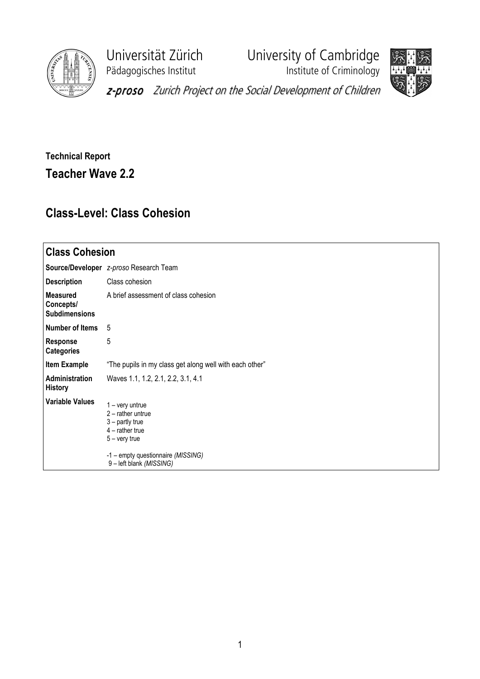

Pädagogisches Institut **Institute of Criminology** 

Universität Zürich University of Cambridge





z-proso Zurich Project on the Social Development of Children

## Technical Report Teacher Wave 2.2

## Class-Level: Class Cohesion

| <b>Class Cohesion</b>                                |                                                                                                                                                                       |  |  |  |  |
|------------------------------------------------------|-----------------------------------------------------------------------------------------------------------------------------------------------------------------------|--|--|--|--|
|                                                      | Source/Developer z-proso Research Team                                                                                                                                |  |  |  |  |
| <b>Description</b>                                   | Class cohesion                                                                                                                                                        |  |  |  |  |
| <b>Measured</b><br>Concepts/<br><b>Subdimensions</b> | A brief assessment of class cohesion                                                                                                                                  |  |  |  |  |
| <b>Number of Items</b>                               | 5                                                                                                                                                                     |  |  |  |  |
| <b>Response</b><br><b>Categories</b>                 | 5                                                                                                                                                                     |  |  |  |  |
| <b>Item Example</b>                                  | "The pupils in my class get along well with each other"                                                                                                               |  |  |  |  |
| Administration<br><b>History</b>                     | Waves 1.1, 1.2, 2.1, 2.2, 3.1, 4.1                                                                                                                                    |  |  |  |  |
| Variable Values                                      | $1 -$ very untrue<br>$2$ – rather untrue<br>3 - partly true<br>$4$ – rather true<br>$5 -$ very true<br>-1 - empty questionnaire (MISSING)<br>9 - left blank (MISSING) |  |  |  |  |